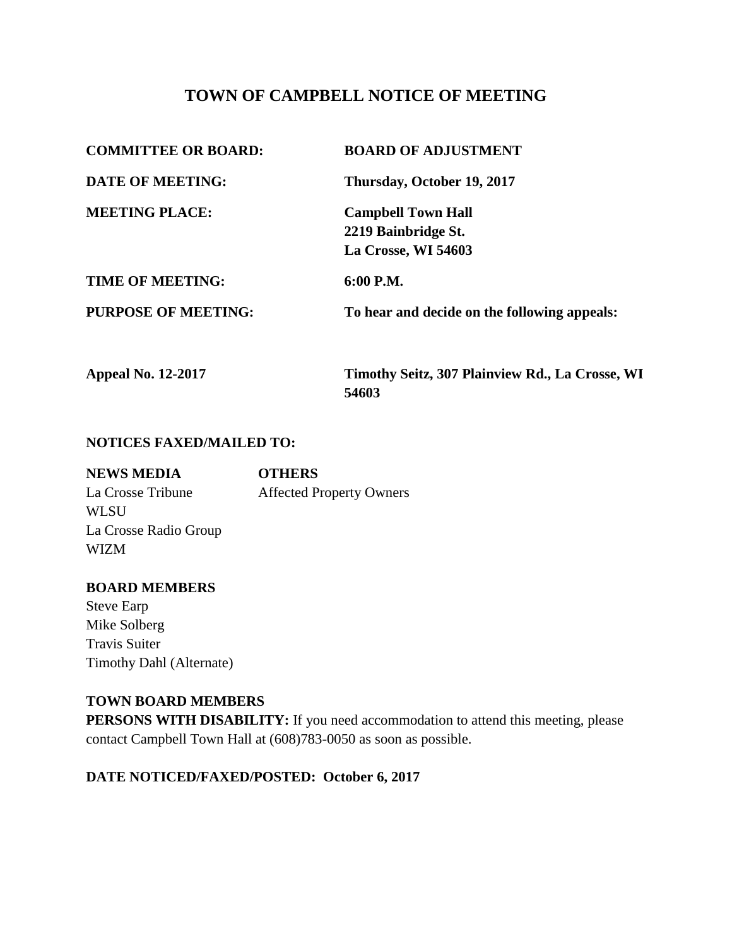# **TOWN OF CAMPBELL NOTICE OF MEETING**

| <b>COMMITTEE OR BOARD:</b> | <b>BOARD OF ADJUSTMENT</b>                      |
|----------------------------|-------------------------------------------------|
| <b>DATE OF MEETING:</b>    | Thursday, October 19, 2017                      |
| <b>MEETING PLACE:</b>      | <b>Campbell Town Hall</b>                       |
|                            | 2219 Bainbridge St.                             |
|                            | La Crosse, WI 54603                             |
| <b>TIME OF MEETING:</b>    | 6:00 P.M.                                       |
| <b>PURPOSE OF MEETING:</b> | To hear and decide on the following appeals:    |
| <b>Appeal No. 12-2017</b>  | Timothy Seitz, 307 Plainview Rd., La Crosse, WI |

**54603**

## **NOTICES FAXED/MAILED TO:**

| <b>NEWS MEDIA</b>     | <b>OTHERS</b>                   |
|-----------------------|---------------------------------|
| La Crosse Tribune     | <b>Affected Property Owners</b> |
| <b>WLSU</b>           |                                 |
| La Crosse Radio Group |                                 |
| <b>WIZM</b>           |                                 |
|                       |                                 |

#### **BOARD MEMBERS**

Steve Earp Mike Solberg Travis Suiter Timothy Dahl (Alternate)

## **TOWN BOARD MEMBERS**

**PERSONS WITH DISABILITY:** If you need accommodation to attend this meeting, please contact Campbell Town Hall at (608)783-0050 as soon as possible.

## **DATE NOTICED/FAXED/POSTED: October 6, 2017**